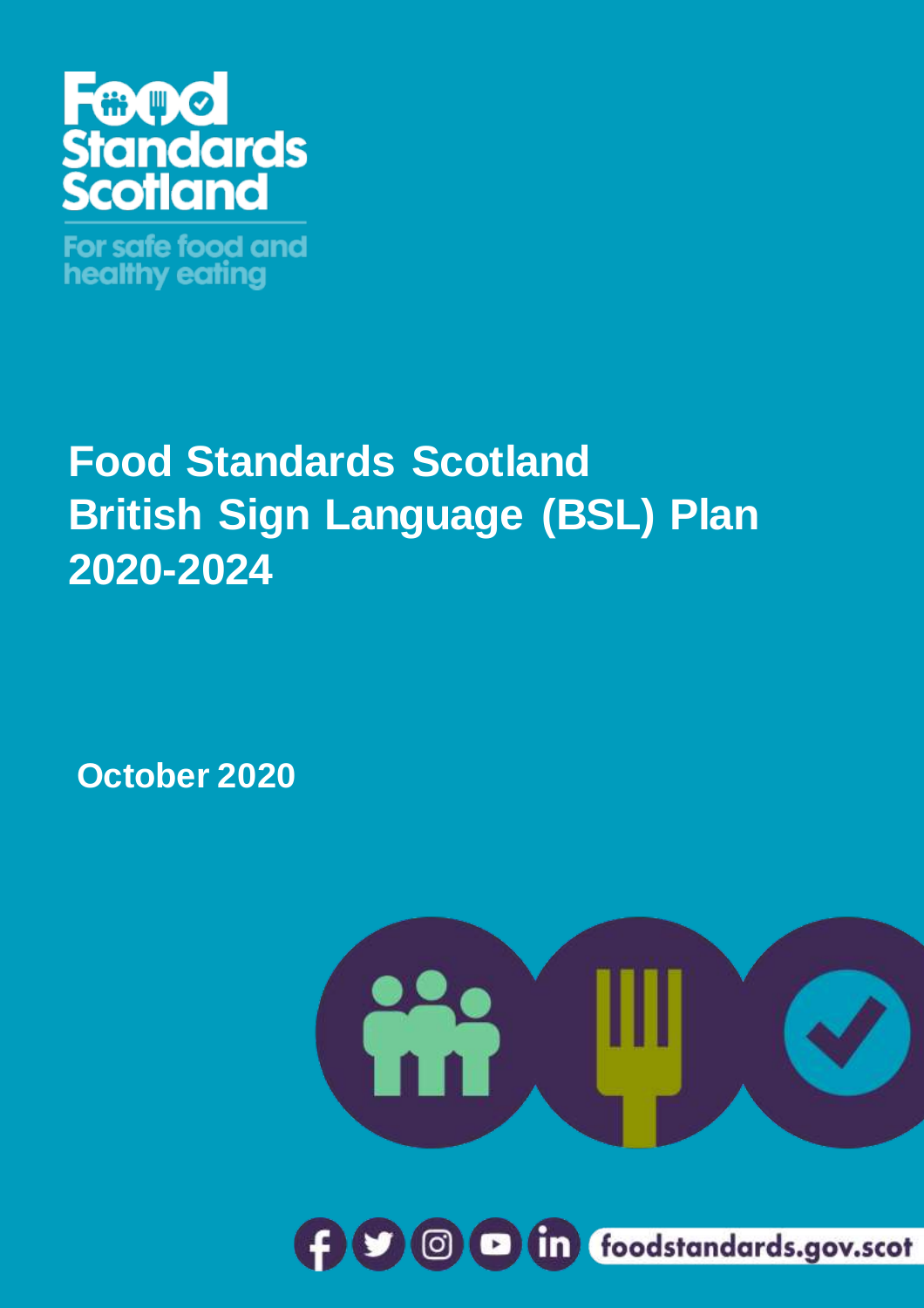

For safe food and healthy eating

# **Food Standards Scotland British Sign Language (BSL) Plan 2020-2024**

**October 2020**



1 **foodstandards.gov.scot**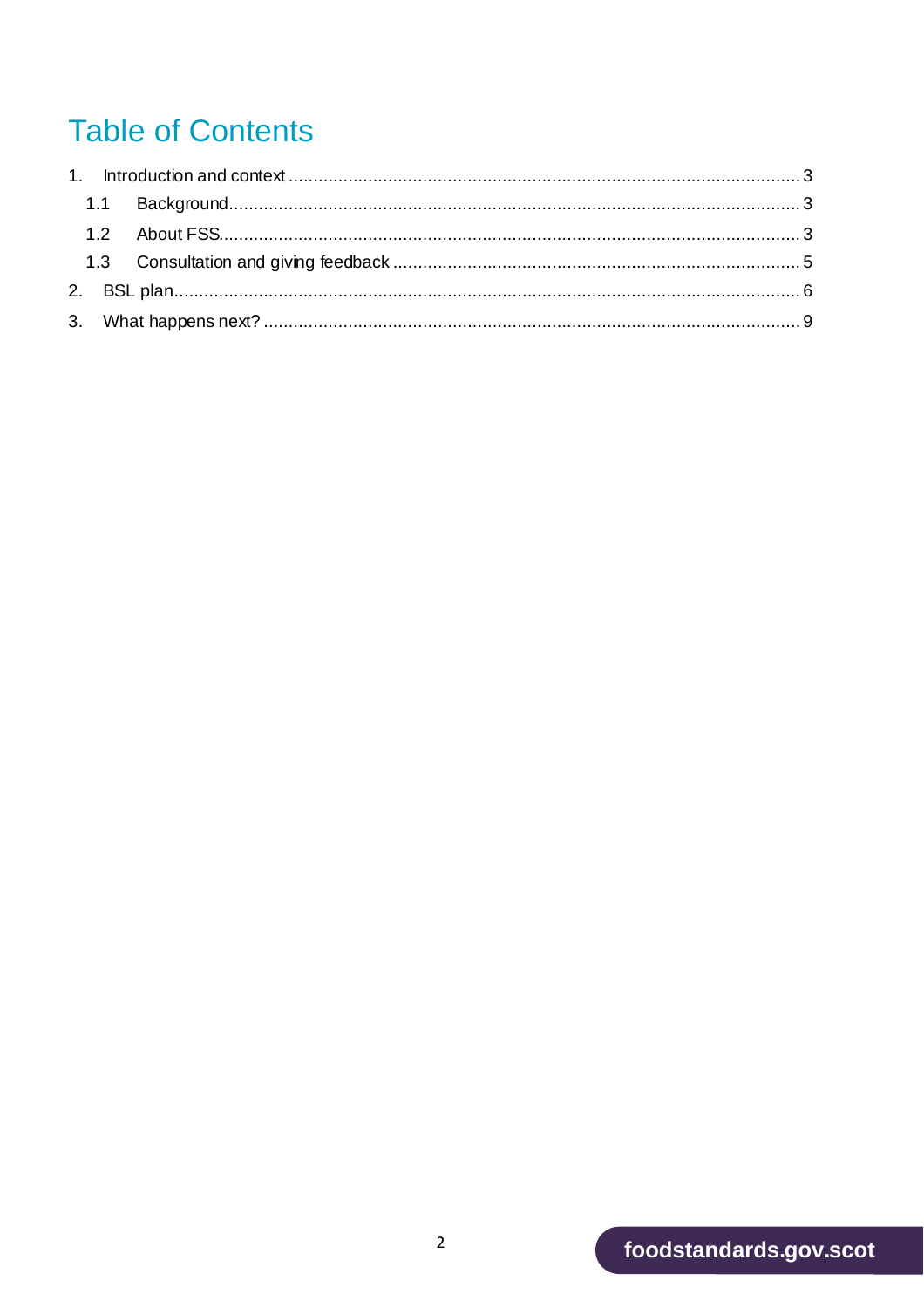# **Table of Contents**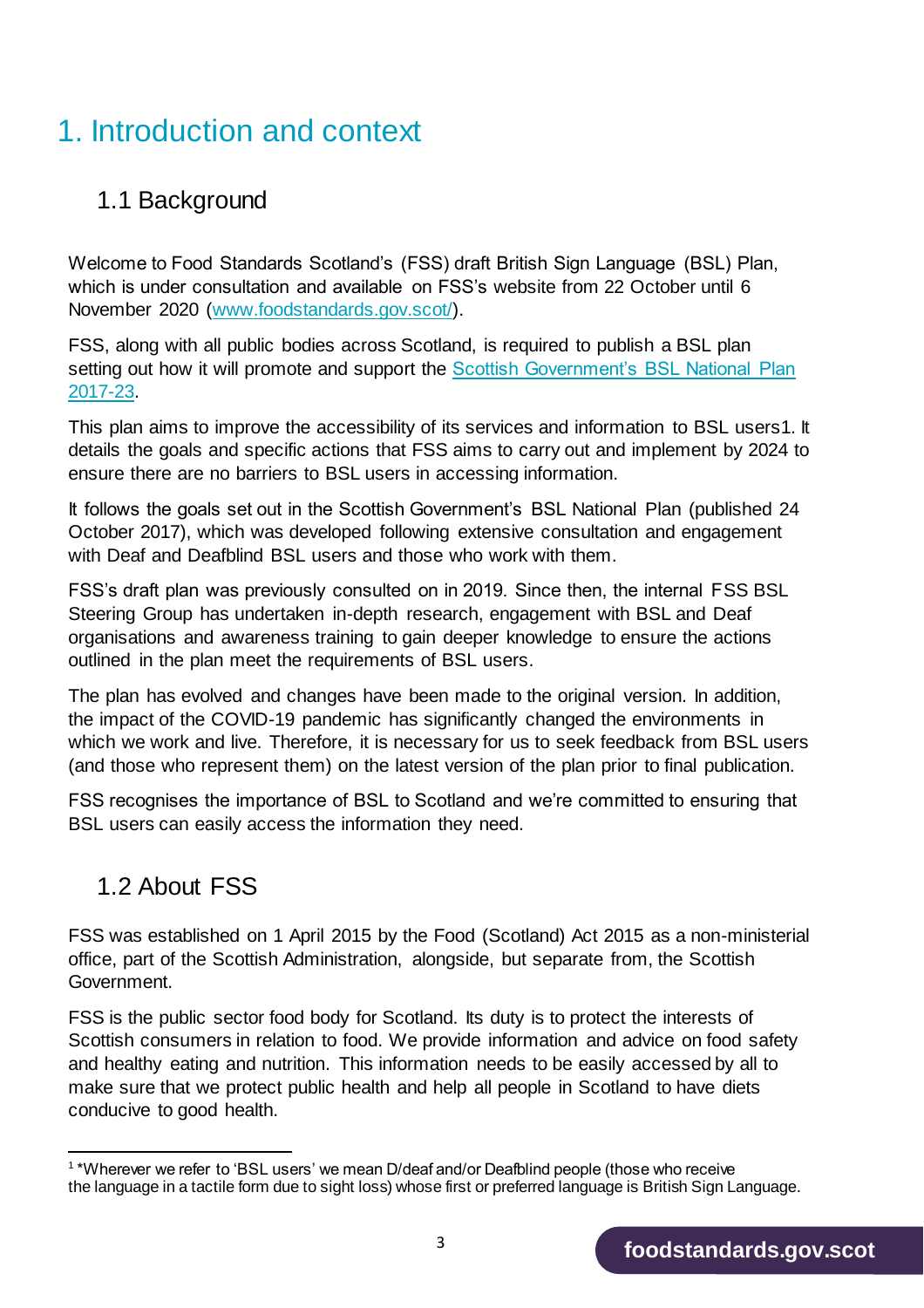### <span id="page-2-0"></span>1. Introduction and context

### <span id="page-2-1"></span>1.1 Background

Welcome to Food Standards Scotland's (FSS) draft British Sign Language (BSL) Plan, which is under consultation and available on FSS's website from 22 October until 6 November 2020 [\(www.foodstandards.gov.scot/\)](http://www.foodstandards.gov.scot/).

FSS, along with all public bodies across Scotland, is required to publish a BSL plan setting out how it will promote and support the Scottish Government's BSL National Plan [2017-23.](https://scot.us13.list-manage.com/track/click?u=edf0a5ce6e3eb75233100a1b5&id=9b4298402b&e=69d4b3539e)

This plan aims to improve the accessibility of its services and information to BSL users1. It details the goals and specific actions that FSS aims to carry out and implement by 2024 to ensure there are no barriers to BSL users in accessing information.

It follows the goals set out in the Scottish Government's BSL National Plan (published 24 October 2017), which was developed following extensive consultation and engagement with Deaf and Deafblind BSL users and those who work with them.

FSS's draft plan was previously consulted on in 2019. Since then, the internal FSS BSL Steering Group has undertaken in-depth research, engagement with BSL and Deaf organisations and awareness training to gain deeper knowledge to ensure the actions outlined in the plan meet the requirements of BSL users.

The plan has evolved and changes have been made to the original version. In addition, the impact of the COVID-19 pandemic has significantly changed the environments in which we work and live. Therefore, it is necessary for us to seek feedback from BSL users (and those who represent them) on the latest version of the plan prior to final publication.

FSS recognises the importance of BSL to Scotland and we're committed to ensuring that BSL users can easily access the information they need.

### <span id="page-2-2"></span>1.2 About FSS

FSS was established on 1 April 2015 by the Food (Scotland) Act 2015 as a non-ministerial office, part of the Scottish Administration, alongside, but separate from, the Scottish Government.

FSS is the public sector food body for Scotland. Its duty is to protect the interests of Scottish consumers in relation to food. We provide information and advice on food safety and healthy eating and nutrition. This information needs to be easily accessed by all to make sure that we protect public health and help all people in Scotland to have diets conducive to good health.

 1 \*Wherever we refer to 'BSL users' we mean D/deaf and/or Deafblind people (those who receive the language in a tactile form due to sight loss) whose first or preferred language is British Sign Language.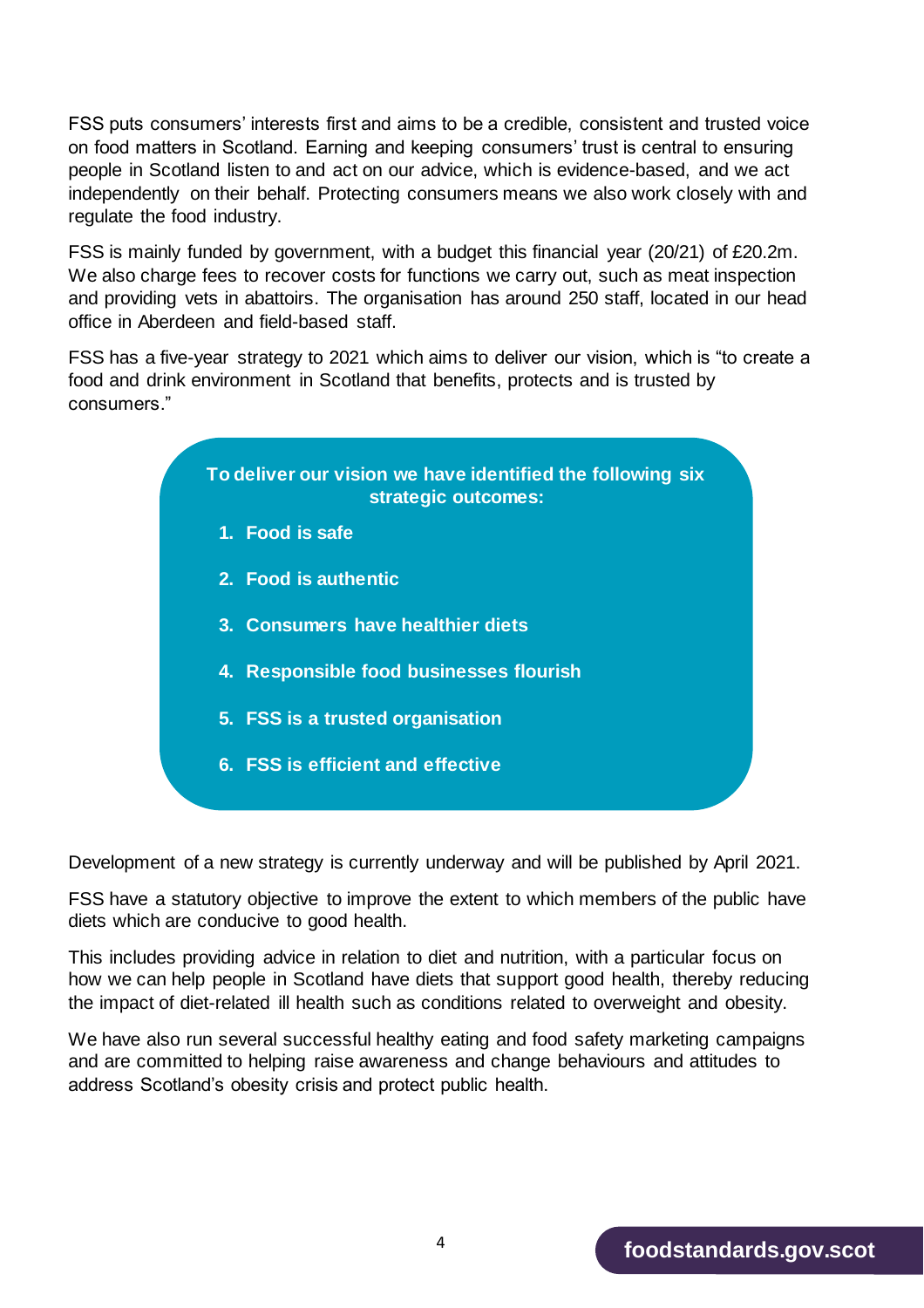FSS puts consumers' interests first and aims to be a credible, consistent and trusted voice on food matters in Scotland. Earning and keeping consumers' trust is central to ensuring people in Scotland listen to and act on our advice, which is evidence-based, and we act independently on their behalf. Protecting consumers means we also work closely with and regulate the food industry.

FSS is mainly funded by government, with a budget this financial year (20/21) of £20.2m. We also charge fees to recover costs for functions we carry out, such as meat inspection and providing vets in abattoirs. The organisation has around 250 staff, located in our head office in Aberdeen and field-based staff.

FSS has a five-year strategy to 2021 which aims to deliver our vision, which is "to create a food and drink environment in Scotland that benefits, protects and is trusted by consumers."



Development of a new strategy is currently underway and will be published by April 2021.

FSS have a statutory objective to improve the extent to which members of the public have diets which are conducive to good health.

This includes providing advice in relation to diet and nutrition, with a particular focus on how we can help people in Scotland have diets that support good health, thereby reducing the impact of diet-related ill health such as conditions related to overweight and obesity.

We have also run several successful healthy eating and food safety marketing campaigns and are committed to helping raise awareness and change behaviours and attitudes to address Scotland's obesity crisis and protect public health.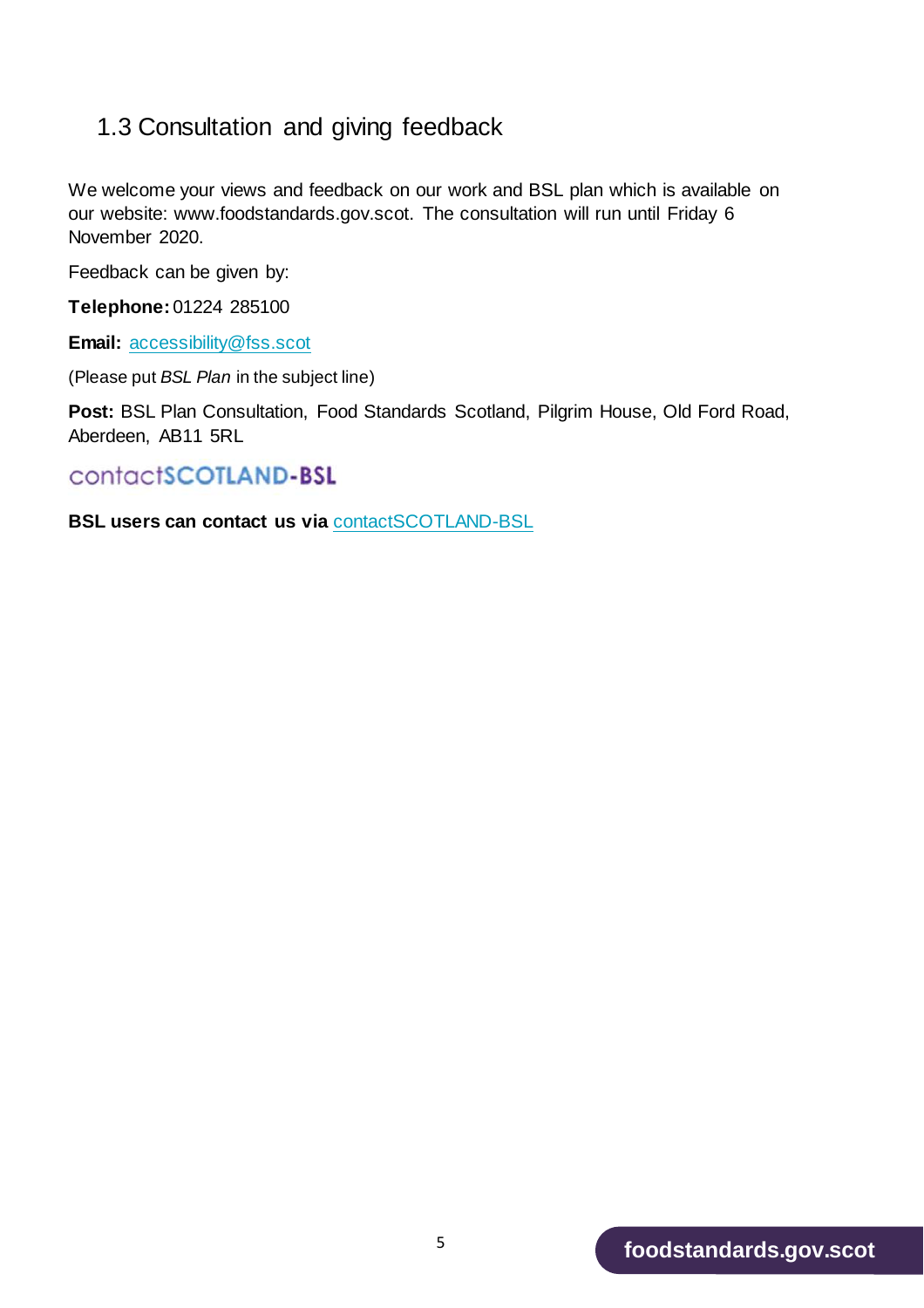#### <span id="page-4-0"></span>1.3 Consultation and giving feedback

We welcome your views and feedback on our work and BSL plan which is available on our website: www.foodstandards.gov.scot. The consultation will run until Friday 6 November 2020.

Feedback can be given by:

**Telephone:** 01224 285100

**Email:** [accessibility@fss.scot](mailto:accessibility@fss.scot)

(Please put *BSL Plan* in the subject line)

**Post:** BSL Plan Consultation, Food Standards Scotland, Pilgrim House, Old Ford Road, Aberdeen, AB11 5RL

#### contactSCOTLAND-BSL

<span id="page-4-1"></span>**BSL users can contact us via** [contactSCOTLAND-BSL](https://contactscotland-bsl.org/)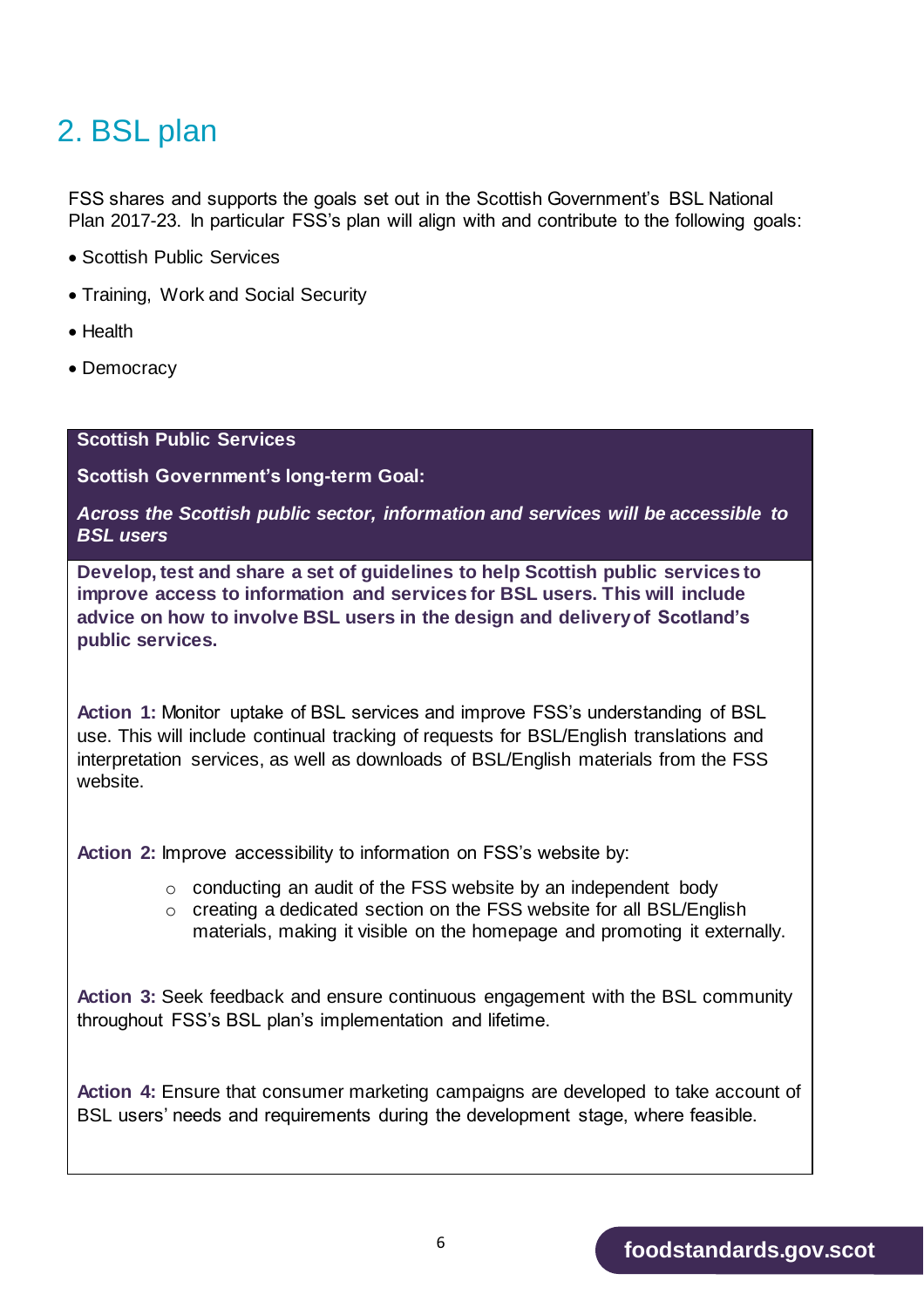## 2. BSL plan

FSS shares and supports the goals set out in the Scottish Government's BSL National Plan 2017-23. In particular FSS's plan will align with and contribute to the following goals:

- Scottish Public Services
- Training, Work and Social Security
- Health
- Democracy

#### **Scottish Public Services**

**Scottish Government's long-term Goal:**

*Across the Scottish public sector, information and services will be accessible to BSL users*

**Develop, test and share a set of guidelines to help Scottish public services to improve access to information and services for BSL users. This will include advice on how to involve BSL users in the design and delivery of Scotland's public services.**

**Action 1:** Monitor uptake of BSL services and improve FSS's understanding of BSL use. This will include continual tracking of requests for BSL/English translations and interpretation services, as well as downloads of BSL/English materials from the FSS website.

**Action 2:** Improve accessibility to information on FSS's website by:

- o conducting an audit of the FSS website by an independent body
- o creating a dedicated section on the FSS website for all BSL/English materials, making it visible on the homepage and promoting it externally.

**Action 3:** Seek feedback and ensure continuous engagement with the BSL community throughout FSS's BSL plan's implementation and lifetime.

**Action 4:** Ensure that consumer marketing campaigns are developed to take account of BSL users' needs and requirements during the development stage, where feasible.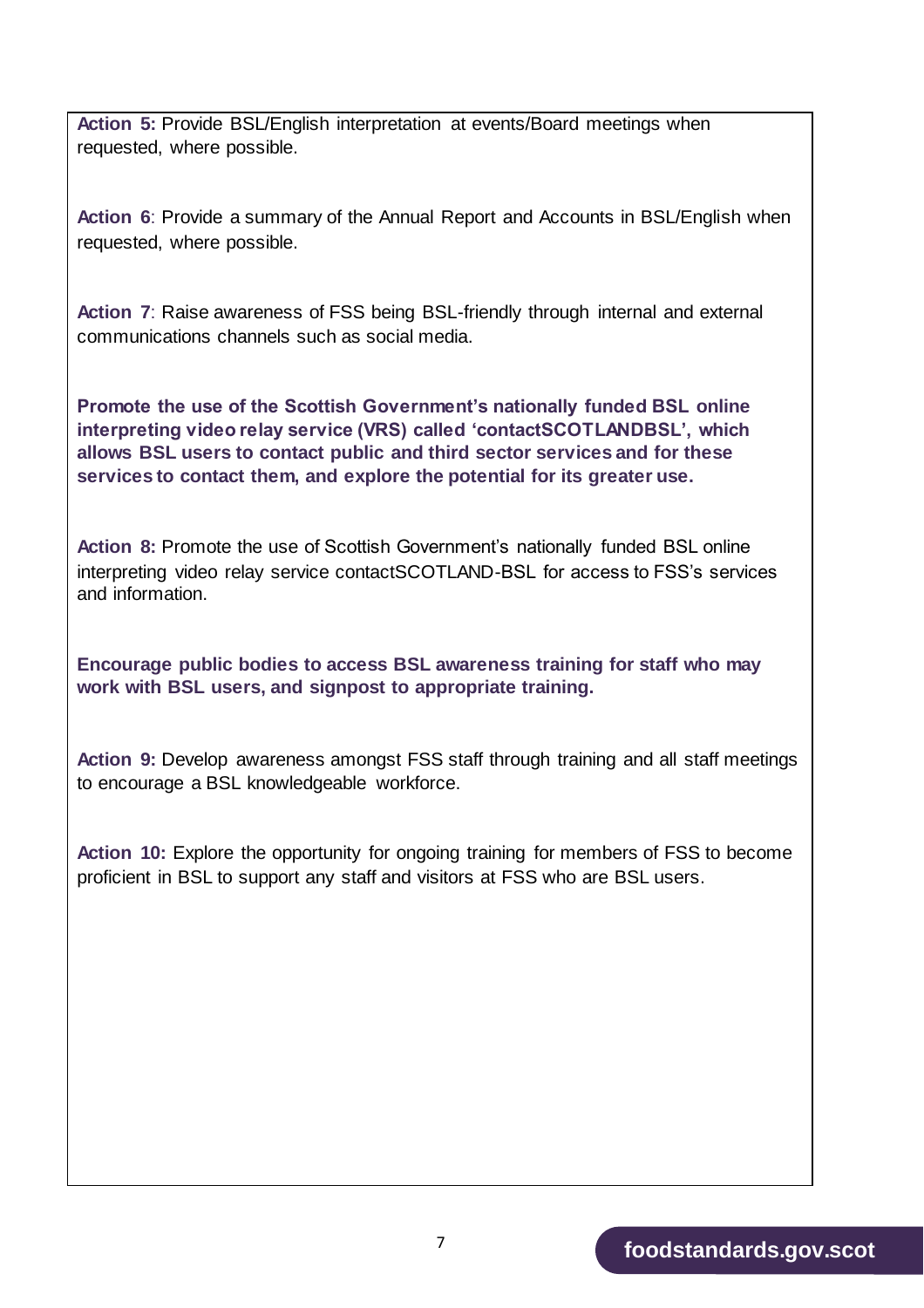**Action 5:** Provide BSL/English interpretation at events/Board meetings when requested, where possible.

**Action 6**: Provide a summary of the Annual Report and Accounts in BSL/English when requested, where possible.

**Action 7**: Raise awareness of FSS being BSL-friendly through internal and external communications channels such as social media.

**Promote the use of the Scottish Government's nationally funded BSL online interpreting video relay service (VRS) called 'contactSCOTLANDBSL', which allows BSL users to contact public and third sector services and for these services to contact them, and explore the potential for its greater use.**

**Action 8:** Promote the use of Scottish Government's nationally funded BSL online interpreting video relay service contactSCOTLAND-BSL for access to FSS's services and information.

**Encourage public bodies to access BSL awareness training for staff who may work with BSL users, and signpost to appropriate training.**

**Action 9:** Develop awareness amongst FSS staff through training and all staff meetings to encourage a BSL knowledgeable workforce.

**Action 10:** Explore the opportunity for ongoing training for members of FSS to become proficient in BSL to support any staff and visitors at FSS who are BSL users.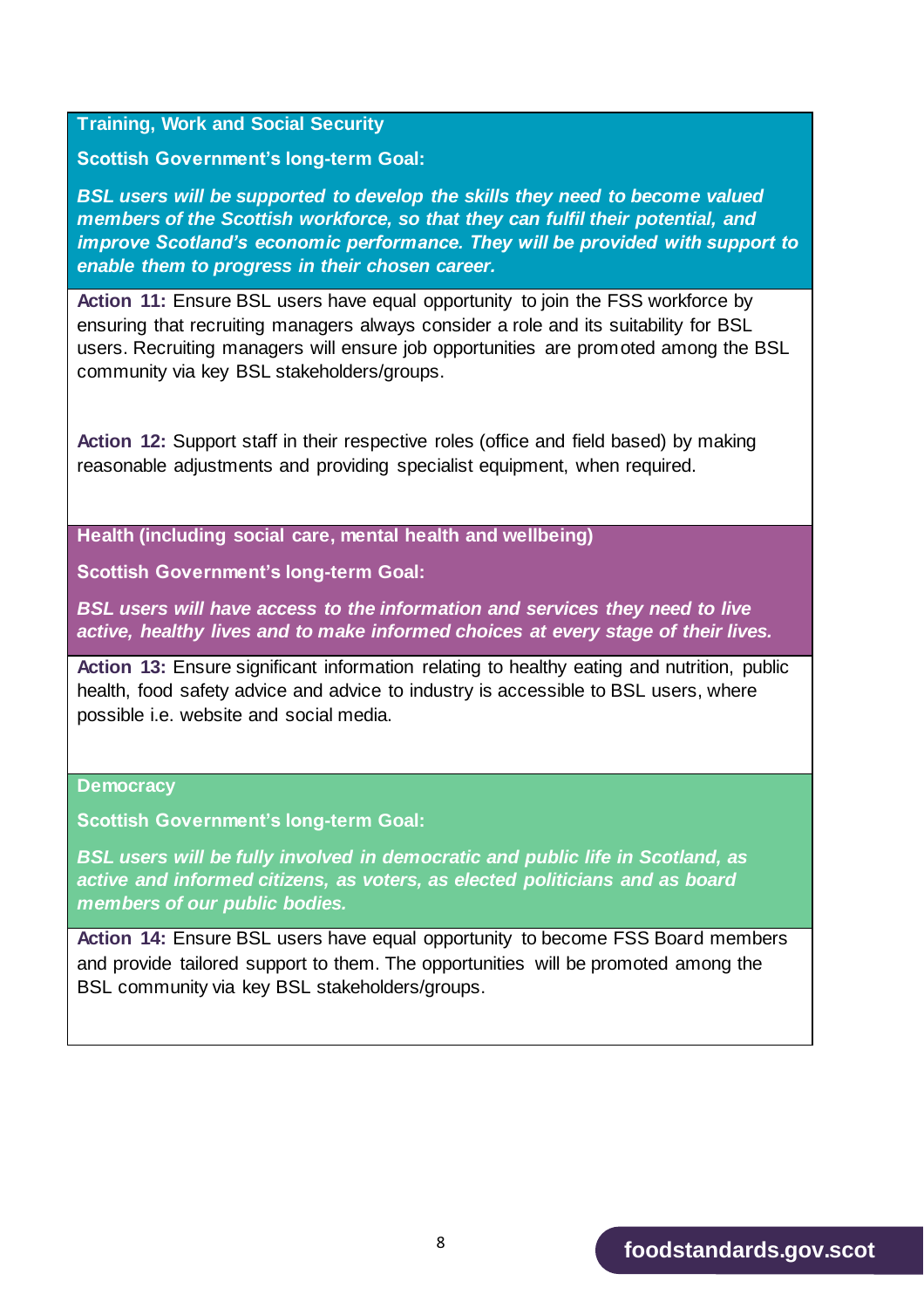**Training, Work and Social Security** 

**Scottish Government's long-term Goal:** 

*BSL users will be supported to develop the skills they need to become valued members of the Scottish workforce, so that they can fulfil their potential, and improve Scotland's economic performance. They will be provided with support to enable them to progress in their chosen career.*

**Action 11:** Ensure BSL users have equal opportunity to join the FSS workforce by ensuring that recruiting managers always consider a role and its suitability for BSL users. Recruiting managers will ensure job opportunities are promoted among the BSL community via key BSL stakeholders/groups.

**Action 12:** Support staff in their respective roles (office and field based) by making reasonable adjustments and providing specialist equipment, when required.

**Health (including social care, mental health and wellbeing)** 

**Scottish Government's long-term Goal:** 

*BSL users will have access to the information and services they need to live active, healthy lives and to make informed choices at every stage of their lives.*

**Action 13:** Ensure significant information relating to healthy eating and nutrition, public health, food safety advice and advice to industry is accessible to BSL users, where possible i.e. website and social media.

#### **Democracy**

**Scottish Government's long-term Goal:** 

*BSL users will be fully involved in democratic and public life in Scotland, as active and informed citizens, as voters, as elected politicians and as board members of our public bodies.*

**Action 14:** Ensure BSL users have equal opportunity to become FSS Board members and provide tailored support to them. The opportunities will be promoted among the BSL community via key BSL stakeholders/groups.